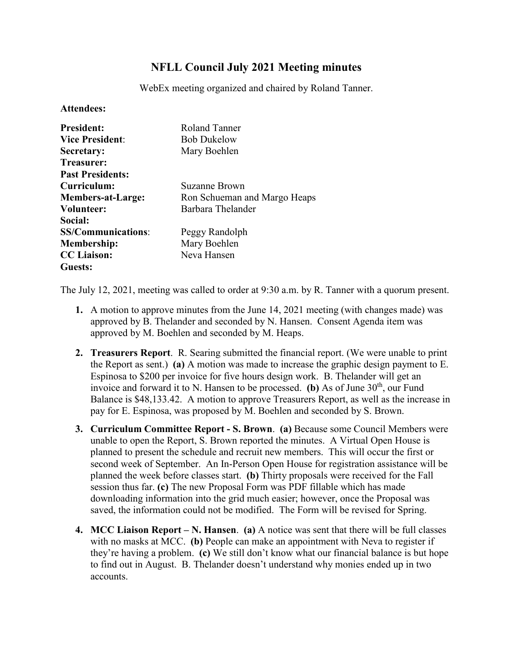## **NFLL Council July 2021 Meeting minutes**

WebEx meeting organized and chaired by Roland Tanner.

## **Attendees:**

| <b>President:</b>         | Roland Tanner                |
|---------------------------|------------------------------|
| <b>Vice President:</b>    | <b>Bob Dukelow</b>           |
| Secretary:                | Mary Boehlen                 |
| Treasurer:                |                              |
| <b>Past Presidents:</b>   |                              |
| Curriculum:               | Suzanne Brown                |
| <b>Members-at-Large:</b>  | Ron Schueman and Margo Heaps |
| Volunteer:                | Barbara Thelander            |
| Social:                   |                              |
| <b>SS/Communications:</b> | Peggy Randolph               |
| <b>Membership:</b>        | Mary Boehlen                 |
| <b>CC</b> Liaison:        | Neva Hansen                  |
| Guests:                   |                              |

The July 12, 2021, meeting was called to order at 9:30 a.m. by R. Tanner with a quorum present.

- **1.** A motion to approve minutes from the June 14, 2021 meeting (with changes made) was approved by B. Thelander and seconded by N. Hansen. Consent Agenda item was approved by M. Boehlen and seconded by M. Heaps.
- **2. Treasurers Report**. R. Searing submitted the financial report. (We were unable to print the Report as sent.) **(a)** A motion was made to increase the graphic design payment to E. Espinosa to \$200 per invoice for five hours design work. B. Thelander will get an invoice and forward it to N. Hansen to be processed. **(b)** As of June  $30<sup>th</sup>$ , our Fund Balance is \$48,133.42. A motion to approve Treasurers Report, as well as the increase in pay for E. Espinosa, was proposed by M. Boehlen and seconded by S. Brown.
- **3. Curriculum Committee Report - S. Brown**. **(a)** Because some Council Members were unable to open the Report, S. Brown reported the minutes. A Virtual Open House is planned to present the schedule and recruit new members. This will occur the first or second week of September. An In-Person Open House for registration assistance will be planned the week before classes start. **(b)** Thirty proposals were received for the Fall session thus far. **(c)** The new Proposal Form was PDF fillable which has made downloading information into the grid much easier; however, once the Proposal was saved, the information could not be modified. The Form will be revised for Spring.
- **4. MCC Liaison Report – N. Hansen**. **(a)** A notice was sent that there will be full classes with no masks at MCC. **(b)** People can make an appointment with Neva to register if they're having a problem. **(c)** We still don't know what our financial balance is but hope to find out in August. B. Thelander doesn't understand why monies ended up in two accounts.